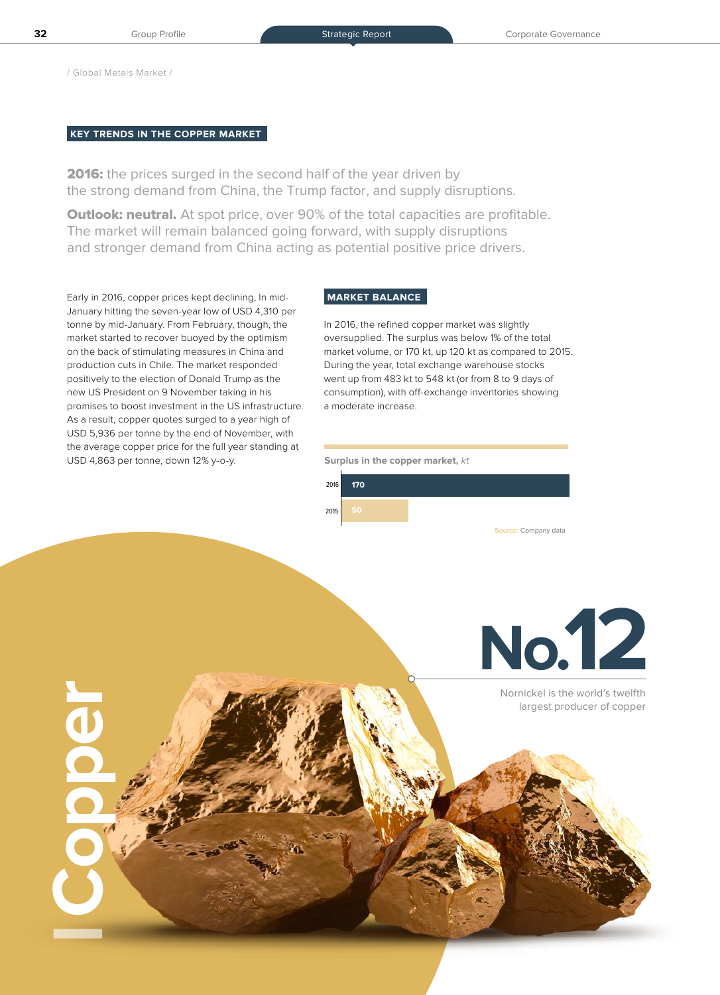/ Global Metals Market /

**Copper**

## **KEY TRENDS IN THE COPPER MARKET**

2016: the prices surged in the second half of the year driven by the strong demand from China, the Trump factor, and supply disruptions.

**Outlook: neutral.** At spot price, over 90% of the total capacities are profitable. The market will remain balanced going forward, with supply disruptions and stronger demand from China acting as potential positive price drivers.

Early in 2016, copper prices kept declining, In mid-January hitting the seven-year low of USD 4,310 per tonne by mid-January. From February, though, the market started to recover buoyed by the optimism on the back of stimulating measures in China and production cuts in Chile. The market responded positively to the election of Donald Trump as the new US President on 9 November taking in his promises to boost investment in the US infrastructure. As a result, copper quotes surged to a year high of USD 5,936 per tonne by the end of November, with the average copper price for the full year standing at USD 4,863 per tonne, down 12% y-o-y.

# **MARKET BALANCE**

In 2016, the refined copper market was slightly oversupplied. The surplus was below 1% of the total market volume, or 170 kt, up 120 kt as compared to 2015. During the year, total exchange warehouse stocks went up from 483 kt to 548 kt (or from 8 to 9 days of consumption), with off-exchange inventories showing a moderate increase.

### **Surplus in the copper market,** kt





Nornickel is the world's twelfth largest producer of copper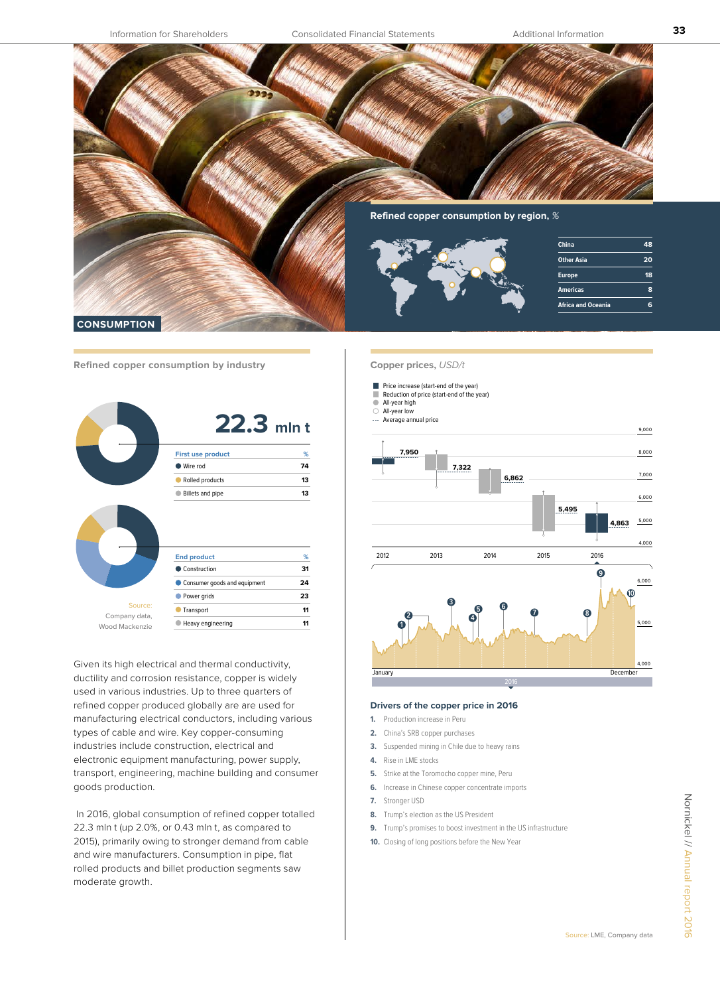

**Refined copper consumption by industry**

| <b>First use product</b>              | %  |
|---------------------------------------|----|
| Wire rod                              | 74 |
| Rolled products                       | 13 |
| Billets and pipe                      | 13 |
|                                       |    |
| <b>End product</b>                    | ℅  |
| Construction                          | 31 |
| Consumer goods and equipment          | 24 |
| Power grids                           | 23 |
| Source:<br>Transport<br>Company data, | 11 |

Given its high electrical and thermal conductivity, ductility and corrosion resistance, copper is widely used in various industries. Up to three quarters of refined copper produced globally are are used for manufacturing electrical conductors, including various types of cable and wire. Key copper-consuming industries include construction, electrical and electronic equipment manufacturing, power supply, transport, engineering, machine building and consumer goods production.

 In 2016, global consumption of refined copper totalled 22.3 mln t (up 2.0%, or 0.43 mln t, as compared to 2015), primarily owing to stronger demand from cable and wire manufacturers. Consumption in pipe, flat rolled products and billet production segments saw moderate growth.

#### **Copper prices,** USD/t

**Price increase (start-end of the year)** 

- Reduction of price (start-end of the year)  $\overline{\phantom{a}}$ All-year high
- All-year low

--- Average annual price



#### **Drivers of the copper price in 2016**

- **1.** Production increase in Peru
- **2.** China's SRB copper purchases
- **3.** Suspended mining in Chile due to heavy rains
- **4.** Rise in LME stocks
- **5.** Strike at the Toromocho copper mine, Peru
- **6.** Increase in Chinese copper concentrate imports
- **7.** Stronger USD
- **8.** Trump's election as the US President
- **9.** Trump's promises to boost investment in the US infrastructure
- **10.** Closing of long positions before the New Year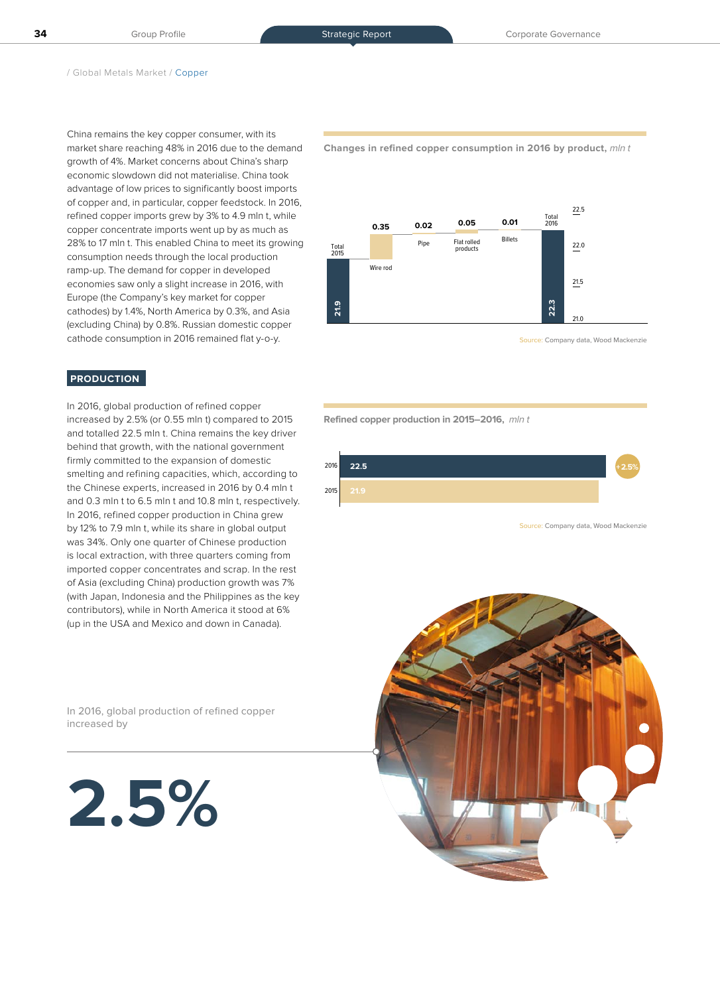China remains the key copper consumer, with its market share reaching 48% in 2016 due to the demand growth of 4%. Market concerns about China's sharp economic slowdown did not materialise. China took advantage of low prices to significantly boost imports of copper and, in particular, copper feedstock. In 2016, refined copper imports grew by 3% to 4.9 mln t, while copper concentrate imports went up by as much as 28% to 17 mln t. This enabled China to meet its growing consumption needs through the local production ramp-up. The demand for copper in developed economies saw only a slight increase in 2016, with Europe (the Company's key market for copper cathodes) by 1.4%, North America by 0.3%, and Asia (excluding China) by 0.8%. Russian domestic copper cathode consumption in 2016 remained flat y-o-y.

### **PRODUCTION**

In 2016, global production of refined copper increased by 2.5% (or 0.55 mln t) compared to 2015 and totalled 22.5 mln t. China remains the key driver behind that growth, with the national government firmly committed to the expansion of domestic smelting and refining capacities, which, according to the Chinese experts, increased in 2016 by 0.4 mln t and 0.3 mln t to 6.5 mln t and 10.8 mln t, respectively. In 2016, refined copper production in China grew by 12% to 7.9 mln t, while its share in global output was 34%. Only one quarter of Chinese production is local extraction, with three quarters coming from imported copper concentrates and scrap. In the rest of Asia (excluding China) production growth was 7% (with Japan, Indonesia and the Philippines as the key contributors), while in North America it stood at 6% (up in the USA and Mexico and down in Canada).

In 2016, global production of refined copper increased by

**2.5%**

**Changes in refined copper consumption in 2016 by product,** mln t



Source: Company data, Wood Mackenzie

**Refined copper production in 2015–2016,** mln t



Source: Company data, Wood Mackenzie